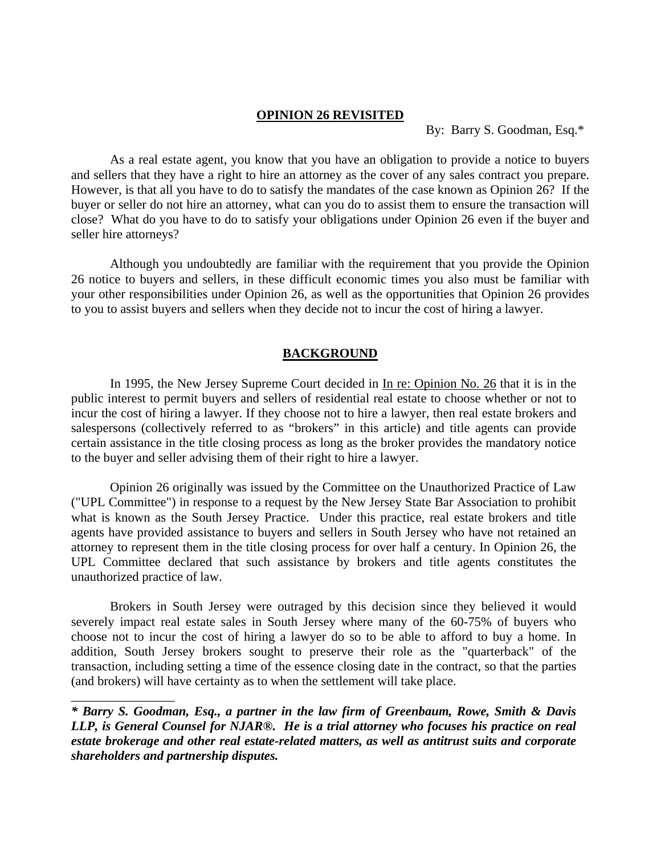## **OPINION 26 REVISITED**

By: Barry S. Goodman, Esq.\*

As a real estate agent, you know that you have an obligation to provide a notice to buyers and sellers that they have a right to hire an attorney as the cover of any sales contract you prepare. However, is that all you have to do to satisfy the mandates of the case known as Opinion 26? If the buyer or seller do not hire an attorney, what can you do to assist them to ensure the transaction will close? What do you have to do to satisfy your obligations under Opinion 26 even if the buyer and seller hire attorneys?

 Although you undoubtedly are familiar with the requirement that you provide the Opinion 26 notice to buyers and sellers, in these difficult economic times you also must be familiar with your other responsibilities under Opinion 26, as well as the opportunities that Opinion 26 provides to you to assist buyers and sellers when they decide not to incur the cost of hiring a lawyer.

## **BACKGROUND**

 In 1995, the New Jersey Supreme Court decided in In re: Opinion No. 26 that it is in the public interest to permit buyers and sellers of residential real estate to choose whether or not to incur the cost of hiring a lawyer. If they choose not to hire a lawyer, then real estate brokers and salespersons (collectively referred to as "brokers" in this article) and title agents can provide certain assistance in the title closing process as long as the broker provides the mandatory notice to the buyer and seller advising them of their right to hire a lawyer.

 Opinion 26 originally was issued by the Committee on the Unauthorized Practice of Law ("UPL Committee") in response to a request by the New Jersey State Bar Association to prohibit what is known as the South Jersey Practice. Under this practice, real estate brokers and title agents have provided assistance to buyers and sellers in South Jersey who have not retained an attorney to represent them in the title closing process for over half a century. In Opinion 26, the UPL Committee declared that such assistance by brokers and title agents constitutes the unauthorized practice of law.

 Brokers in South Jersey were outraged by this decision since they believed it would severely impact real estate sales in South Jersey where many of the 60-75% of buyers who choose not to incur the cost of hiring a lawyer do so to be able to afford to buy a home. In addition, South Jersey brokers sought to preserve their role as the "quarterback" of the transaction, including setting a time of the essence closing date in the contract, so that the parties (and brokers) will have certainty as to when the settlement will take place.

*\* Barry S. Goodman, Esq., a partner in the law firm of Greenbaum, Rowe, Smith & Davis LLP, is General Counsel for NJAR®. He is a trial attorney who focuses his practice on real estate brokerage and other real estate-related matters, as well as antitrust suits and corporate shareholders and partnership disputes.* 

\_\_\_\_\_\_\_\_\_\_\_\_\_\_\_\_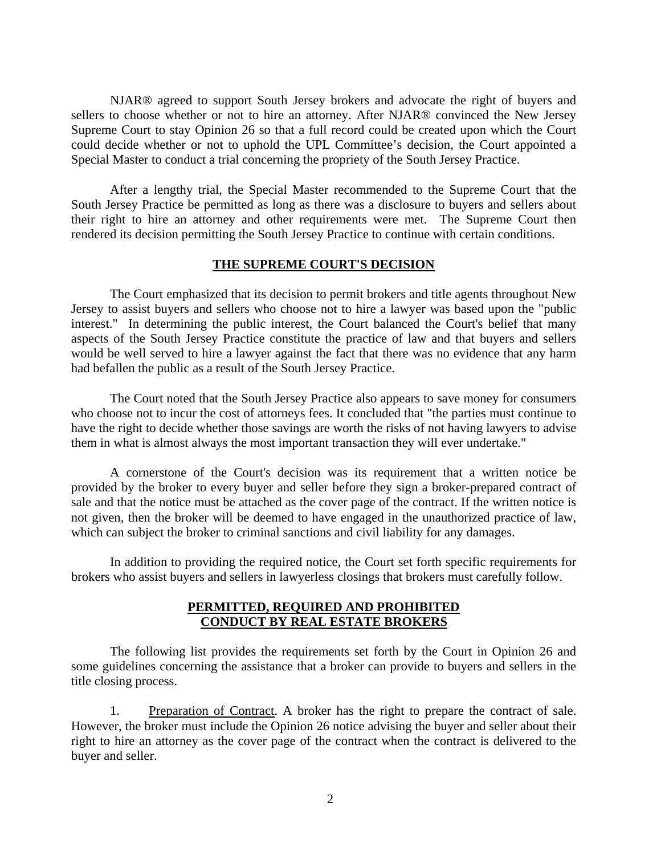NJAR® agreed to support South Jersey brokers and advocate the right of buyers and sellers to choose whether or not to hire an attorney. After NJAR® convinced the New Jersey Supreme Court to stay Opinion 26 so that a full record could be created upon which the Court could decide whether or not to uphold the UPL Committee's decision, the Court appointed a Special Master to conduct a trial concerning the propriety of the South Jersey Practice.

After a lengthy trial, the Special Master recommended to the Supreme Court that the South Jersey Practice be permitted as long as there was a disclosure to buyers and sellers about their right to hire an attorney and other requirements were met. The Supreme Court then rendered its decision permitting the South Jersey Practice to continue with certain conditions.

## **THE SUPREME COURT'S DECISION**

 The Court emphasized that its decision to permit brokers and title agents throughout New Jersey to assist buyers and sellers who choose not to hire a lawyer was based upon the "public interest." In determining the public interest, the Court balanced the Court's belief that many aspects of the South Jersey Practice constitute the practice of law and that buyers and sellers would be well served to hire a lawyer against the fact that there was no evidence that any harm had befallen the public as a result of the South Jersey Practice.

The Court noted that the South Jersey Practice also appears to save money for consumers who choose not to incur the cost of attorneys fees. It concluded that "the parties must continue to have the right to decide whether those savings are worth the risks of not having lawyers to advise them in what is almost always the most important transaction they will ever undertake."

 A cornerstone of the Court's decision was its requirement that a written notice be provided by the broker to every buyer and seller before they sign a broker-prepared contract of sale and that the notice must be attached as the cover page of the contract. If the written notice is not given, then the broker will be deemed to have engaged in the unauthorized practice of law, which can subject the broker to criminal sanctions and civil liability for any damages.

 In addition to providing the required notice, the Court set forth specific requirements for brokers who assist buyers and sellers in lawyerless closings that brokers must carefully follow.

# **PERMITTED, REQUIRED AND PROHIBITED CONDUCT BY REAL ESTATE BROKERS**

 The following list provides the requirements set forth by the Court in Opinion 26 and some guidelines concerning the assistance that a broker can provide to buyers and sellers in the title closing process.

 1. Preparation of Contract. A broker has the right to prepare the contract of sale. However, the broker must include the Opinion 26 notice advising the buyer and seller about their right to hire an attorney as the cover page of the contract when the contract is delivered to the buyer and seller.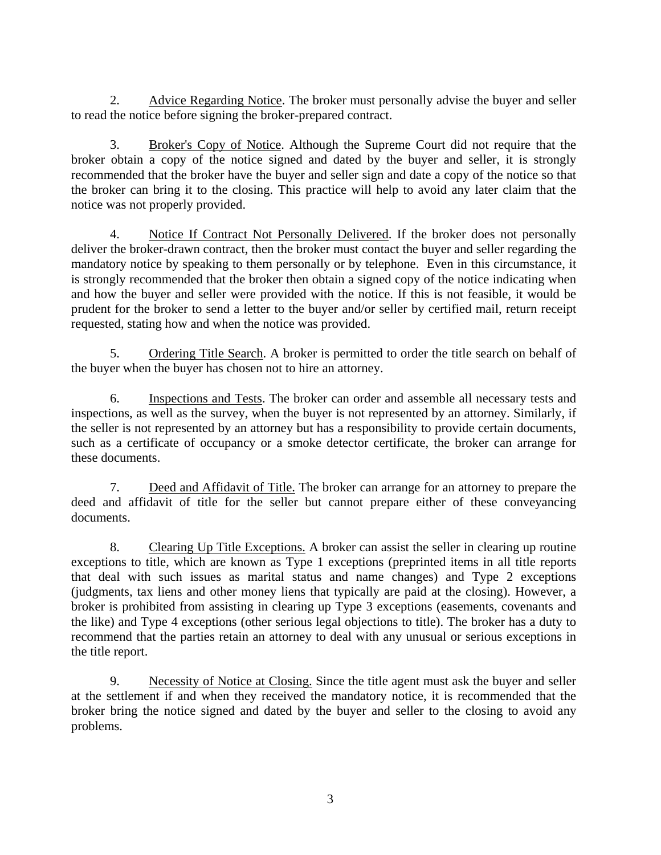2. Advice Regarding Notice. The broker must personally advise the buyer and seller to read the notice before signing the broker-prepared contract.

 3. Broker's Copy of Notice. Although the Supreme Court did not require that the broker obtain a copy of the notice signed and dated by the buyer and seller, it is strongly recommended that the broker have the buyer and seller sign and date a copy of the notice so that the broker can bring it to the closing. This practice will help to avoid any later claim that the notice was not properly provided.

 4. Notice If Contract Not Personally Delivered. If the broker does not personally deliver the broker-drawn contract, then the broker must contact the buyer and seller regarding the mandatory notice by speaking to them personally or by telephone. Even in this circumstance, it is strongly recommended that the broker then obtain a signed copy of the notice indicating when and how the buyer and seller were provided with the notice. If this is not feasible, it would be prudent for the broker to send a letter to the buyer and/or seller by certified mail, return receipt requested, stating how and when the notice was provided.

 5. Ordering Title Search. A broker is permitted to order the title search on behalf of the buyer when the buyer has chosen not to hire an attorney.

 6. Inspections and Tests. The broker can order and assemble all necessary tests and inspections, as well as the survey, when the buyer is not represented by an attorney. Similarly, if the seller is not represented by an attorney but has a responsibility to provide certain documents, such as a certificate of occupancy or a smoke detector certificate, the broker can arrange for these documents.

 7. Deed and Affidavit of Title. The broker can arrange for an attorney to prepare the deed and affidavit of title for the seller but cannot prepare either of these conveyancing documents.

 8. Clearing Up Title Exceptions. A broker can assist the seller in clearing up routine exceptions to title, which are known as Type 1 exceptions (preprinted items in all title reports that deal with such issues as marital status and name changes) and Type 2 exceptions (judgments, tax liens and other money liens that typically are paid at the closing). However, a broker is prohibited from assisting in clearing up Type 3 exceptions (easements, covenants and the like) and Type 4 exceptions (other serious legal objections to title). The broker has a duty to recommend that the parties retain an attorney to deal with any unusual or serious exceptions in the title report.

 9. Necessity of Notice at Closing. Since the title agent must ask the buyer and seller at the settlement if and when they received the mandatory notice, it is recommended that the broker bring the notice signed and dated by the buyer and seller to the closing to avoid any problems.